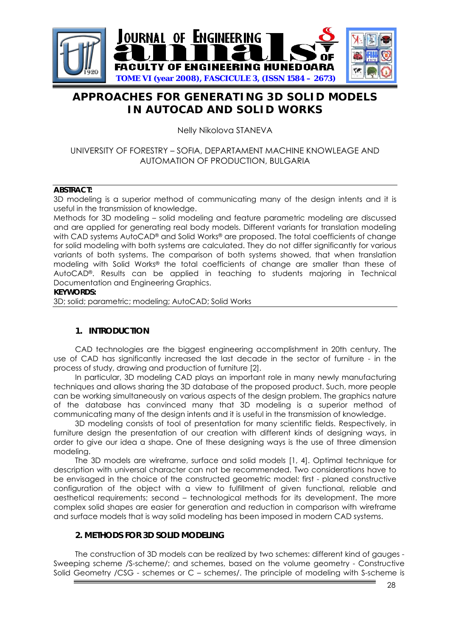

# **APPROACHES FOR GENERATING 3D SOLID MODELS IN AUTOCAD AND SOLID WORKS**

Nelly Nikolova STANEVA

## UNIVERSITY OF FORESTRY – SOFIA, DEPARTAMENT MACHINE KNOWLEAGE AND AUTOMATION OF PRODUCTION, BULGARIA

#### **ABSTRACT:**

3D modeling is a superior method of communicating many of the design intents and it is useful in the transmission of knowledge.

Methods for 3D modeling – solid modeling and feature parametric modeling are discussed and are applied for generating real body models. Different variants for translation modeling with CAD systems AutoCAD® and Solid Works® are proposed. The total coefficients of change for solid modeling with both systems are calculated. They do not differ significantly for various variants of both systems. The comparison of both systems showed, that when translation modeling with Solid Works® the total coefficients of change are smaller than these of AutoCAD®. Results can be applied in teaching to students majoring in Technical Documentation and Engineering Graphics.

#### **KEYWORDS:**

3D; solid; parametric; modeling; AutoCAD; Solid Works

#### **1. INTRODUCTION**

CAD technologies are the biggest engineering accomplishment in 20th century. The use of CAD has significantly increased the last decade in the sector of furniture - in the process of study, drawing and production of furniture [2].

 In particular, 3D modeling CAD plays an important role in many newly manufacturing techniques and allows sharing the 3D database of the proposed product. Such, more people can be working simultaneously on various aspects of the design problem. The graphics nature of the database has convinced many that 3D modeling is a superior method of communicating many of the design intents and it is useful in the transmission of knowledge.

3D modeling consists of tool of presentation for many scientific fields. Respectively, in furniture design the presentation of our creation with different kinds of designing ways, in order to give our idea a shape. One of these designing ways is the use of three dimension modeling.

 The 3D models are wireframe, surface and solid models [1, 4]. Optimal technique for description with universal character can not be recommended. Two considerations have to be envisaged in the choice of the constructed geometric model: first - planed constructive configuration of the object with a view to fulfillment of given functional, reliable and aesthetical requirements; second – technological methods for its development. The more complex solid shapes are easier for generation and reduction in comparison with wireframe and surface models that is way solid modeling has been imposed in modern CAD systems.

## **2. METHODS FOR 3D SOLID MODELING**

The construction of 3D models can be realized by two schemes: different kind of gauges - Sweeping scheme /S-scheme/; and schemes, based on the volume geometry - Constructive Solid Geometry /CSG - schemes or C - schemes/. The principle of modeling with S-scheme is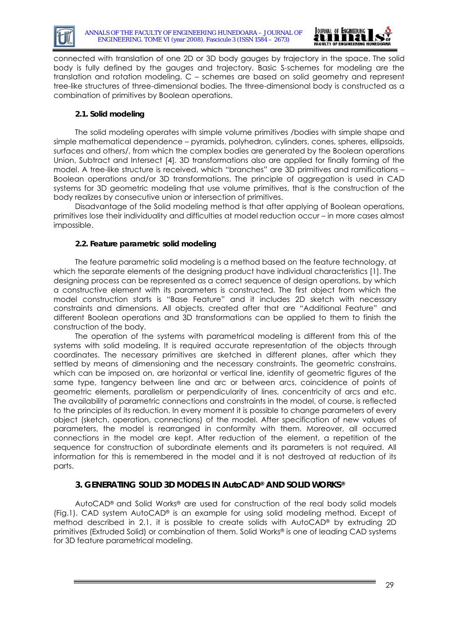



connected with translation of one 2D or 3D body gauges by trajectory in the space. The solid body is fully defined by the gauges and trajectory. Basic S-schemes for modeling are the translation and rotation modeling. С – schemes are based on solid geometry and represent tree-like structures of three-dimensional bodies. The three-dimensional body is constructed as a combination of primitives by Boolean operations.

#### **2.1. Solid modeling**

 The solid modeling operates with simple volume primitives /bodies with simple shape and simple mathematical dependence – pyramids, polyhedron, cylinders, cones, spheres, ellipsoids, surfaces and others/, from which the complex bodies are generated by the Boolean operations Union, Subtract and Intersect [4]. 3D transformations also are applied for finally forming of the model. A tree-like structure is received, which "branches" are 3D primitives and ramifications – Boolean operations and/or 3D transformations. The principle of aggregation is used in CAD systems for 3D geometric modeling that use volume primitives, that is the construction of the body realizes by consecutive union or intersection of primitives.

 Disadvantage of the Solid modeling method is that after applying of Boolean operations, primitives lose their individuality and difficulties at model reduction occur – in more cases almost impossible.

#### **2.2. Feature parametric solid modeling**

 The feature parametric solid modeling is a method based on the feature technology, at which the separate elements of the designing product have individual characteristics [1]. The designing process can be represented as a correct sequence of design operations, by which a constructive element with its parameters is constructed. The first object from which the model construction starts is "Base Feature" and it includes 2D sketch with necessary constraints and dimensions. All objects, created after that are "Additional Feature" and different Boolean operations and 3D transformations can be applied to them to finish the construction of the body.

 The operation of the systems with parametrical modeling is different from this of the systems with solid modeling. It is required accurate representation of the objects through coordinates. The necessary primitives are sketched in different planes, after which they settled by means of dimensioning and the necessary constraints. The geometric constrains, which can be imposed on, are horizontal or vertical line, identity of geometric figures of the same type, tangency between line and arc or between arcs, coincidence of points of geometric elements, parallelism or perpendicularity of lines, concentricity of arcs and etc. The availability of parametric connections and constraints in the model, of course, is reflected to the principles of its reduction. In every moment it is possible to change parameters of every object (sketch, operation, connections) of the model. After specification of new values of parameters, the model is rearranged in conformity with them. Moreover, all occurred connections in the model are kept. After reduction of the element, a repetition of the sequence for construction of subordinate elements and its parameters is not required. All information for this is remembered in the model and it is not destroyed at reduction of its parts.

#### **3. GENERATING SOLID 3D MODELS IN AutoCAD® AND SOLID WORKS®**

 AutoCAD® and Solid Works® are used for construction of the real body solid models (Fig.1). CAD system AutoCAD® is an example for using solid modeling method. Except of method described in 2.1, it is possible to create solids with AutoCAD® by extruding 2D primitives (Extruded Solid) or combination of them. Solid Works® is one of leading CAD systems for 3D feature parametrical modeling.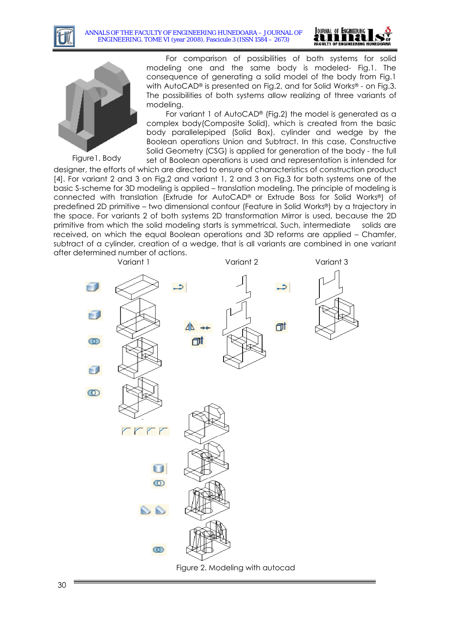





Figure1. Body

For comparison of possibilities of both systems for solid modeling one and the same body is modeled- Fig.1. The consequence of generating a solid model of the body from Fig.1 with AutoCAD® is presented on Fig.2, and for Solid Works® - on Fig.3. The possibilities of both systems allow realizing of three variants of modeling.

For variant 1 of AutoCAD® (Fig.2) the model is generated as a complex body(Composite Solid), which is created from the basic body parallelepiped (Solid Box), cylinder and wedge by the Boolean operations Union and Subtract. In this case, Constructive Solid Geometry (CSG) is applied for generation of the body - the full

set of Boolean operations is used and representation is intended for designer, the efforts of which are directed to ensure of characteristics of construction product [4]. For variant 2 and 3 on Fig.2 and variant 1, 2 and 3 on Fig.3 for both systems one of the basic S-scheme for 3D modeling is applied – translation modeling. The principle of modeling is connected with translation (Extrude for AutoCAD® or Extrude Boss for Solid Works®) of predefined 2D primitive – two dimensional contour (Feature in Solid Works®) by a trajectory in the space. For variants 2 of both systems 2D transformation Mirror is used, because the 2D primitive from which the solid modeling starts is symmetrical. Such, intermediate solids are received, on which the equal Boolean operations and 3D reforms are applied – Chamfer, subtract of a cylinder, creation of a wedge, that is all variants are combined in one variant after determined number of actions.

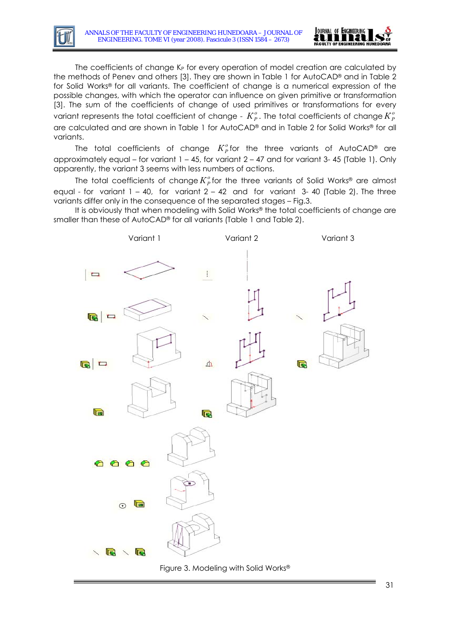

The coefficients of change  $K_P$  for every operation of model creation are calculated by the methods of Penev and others [3]. They are shown in Table 1 for AutoCAD® and in Table 2 for Solid Works® for all variants. The coefficient of change is a numerical expression of the possible changes, with which the operator can influence on given primitive or transformation [3]. The sum of the coefficients of change of used primitives or transformations for every variant represents the total coefficient of change -  $K^o_P$ . The total coefficients of change  $K^o_P$ are calculated and are shown in Table 1 for AutoCAD ® and in Table 2 for Solid Works® for all variants.

The total coefficients of change  $K^o_p$  for the three variants of AutoCAD® are approximately equal – for variant 1 – 45, for variant 2 – 47 and for variant 3- 45 (Table 1). Only apparently, the variant 3 seems with less numbers of actions.

The total coefficients of change $K^o_P$ for the three variants of Solid Works® are almost equal - for variant  $1 - 40$ , for variant  $2 - 42$  and for variant 3-40 (Table 2). The three variants differ only in the consequence of the separated stages – Fig.3.

It is obviously that when modeling with Solid Works® the total coefficients of change are smaller than these of AutoCAD® for all variants (Table 1 and Table 2).